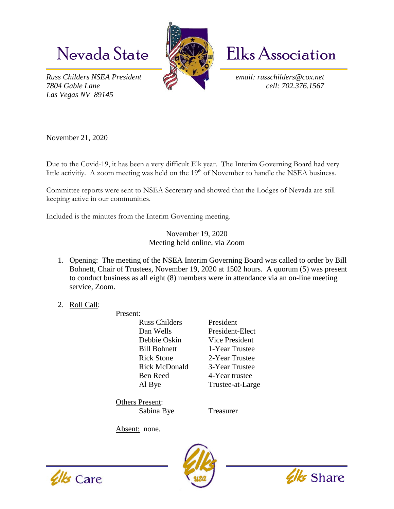*Russ Childers NSEA President email: russchilders@cox.net 7804 Gable Lane cell: 702.376.1567 Las Vegas NV 89145* 



Nevada State **Kanada** Elks Association

November 21, 2020

Due to the Covid-19, it has been a very difficult Elk year. The Interim Governing Board had very little activitiy. A zoom meeting was held on the 19<sup>th</sup> of November to handle the NSEA business.

Committee reports were sent to NSEA Secretary and showed that the Lodges of Nevada are still keeping active in our communities.

Included is the minutes from the Interim Governing meeting.

November 19, 2020 Meeting held online, via Zoom

- 1. Opening: The meeting of the NSEA Interim Governing Board was called to order by Bill Bohnett, Chair of Trustees, November 19, 2020 at 1502 hours. A quorum (5) was present to conduct business as all eight (8) members were in attendance via an on-line meeting service, Zoom.
- 2. Roll Call:

Present: Russ Childers President Dan Wells President-Elect Debbie Oskin Vice President Bill Bohnett 1-Year Trustee Rick Stone 2-Year Trustee Rick McDonald 3-Year Trustee Ben Reed 4-Year trustee Al Bye Trustee-at-Large

Others Present: Sabina Bye Treasurer

Absent: none.





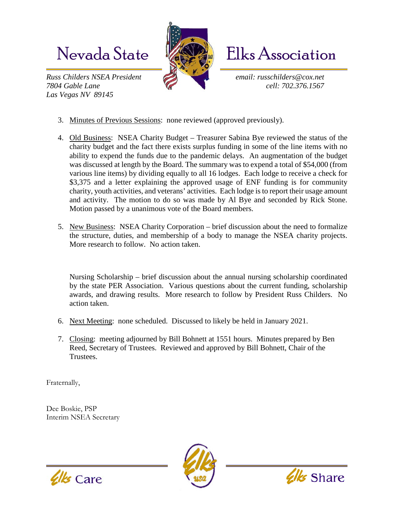*Russ Childers NSEA President email: russchilders@cox.net 7804 Gable Lane cell: 702.376.1567 Las Vegas NV 89145* 



Nevada State **Kanada** Elks Association

- 3. Minutes of Previous Sessions: none reviewed (approved previously).
- 4. Old Business: NSEA Charity Budget Treasurer Sabina Bye reviewed the status of the charity budget and the fact there exists surplus funding in some of the line items with no ability to expend the funds due to the pandemic delays. An augmentation of the budget was discussed at length by the Board. The summary was to expend a total of \$54,000 (from various line items) by dividing equally to all 16 lodges. Each lodge to receive a check for \$3,375 and a letter explaining the approved usage of ENF funding is for community charity, youth activities, and veterans' activities. Each lodge is to report their usage amount and activity. The motion to do so was made by Al Bye and seconded by Rick Stone. Motion passed by a unanimous vote of the Board members.
- 5. New Business: NSEA Charity Corporation brief discussion about the need to formalize the structure, duties, and membership of a body to manage the NSEA charity projects. More research to follow. No action taken.

Nursing Scholarship – brief discussion about the annual nursing scholarship coordinated by the state PER Association. Various questions about the current funding, scholarship awards, and drawing results. More research to follow by President Russ Childers. No action taken.

- 6. Next Meeting: none scheduled. Discussed to likely be held in January 2021.
- 7. Closing: meeting adjourned by Bill Bohnett at 1551 hours. Minutes prepared by Ben Reed, Secretary of Trustees. Reviewed and approved by Bill Bohnett, Chair of the Trustees.

Fraternally,

Dee Boskie, PSP Interim NSEA Secretary





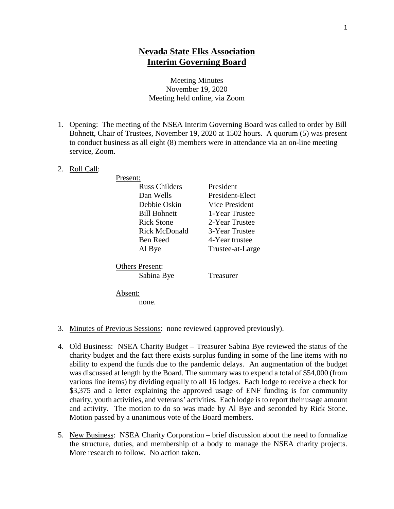## **Nevada State Elks Association Interim Governing Board**

## Meeting Minutes November 19, 2020 Meeting held online, via Zoom

- 1. Opening: The meeting of the NSEA Interim Governing Board was called to order by Bill Bohnett, Chair of Trustees, November 19, 2020 at 1502 hours. A quorum (5) was present to conduct business as all eight (8) members were in attendance via an on-line meeting service, Zoom.
- 2. Roll Call:

Present:

Russ Childers President Dan Wells President-Elect Debbie Oskin Vice President Bill Bohnett 1-Year Trustee Rick Stone 2-Year Trustee Rick McDonald 3-Year Trustee Ben Reed 4-Year trustee Al Bye Trustee-at-Large

Others Present: Sabina Bye Treasurer

Absent:

none.

- 3. Minutes of Previous Sessions: none reviewed (approved previously).
- 4. Old Business: NSEA Charity Budget Treasurer Sabina Bye reviewed the status of the charity budget and the fact there exists surplus funding in some of the line items with no ability to expend the funds due to the pandemic delays. An augmentation of the budget was discussed at length by the Board. The summary was to expend a total of \$54,000 (from various line items) by dividing equally to all 16 lodges. Each lodge to receive a check for \$3,375 and a letter explaining the approved usage of ENF funding is for community charity, youth activities, and veterans' activities. Each lodge is to report their usage amount and activity. The motion to do so was made by Al Bye and seconded by Rick Stone. Motion passed by a unanimous vote of the Board members.
- 5. New Business: NSEA Charity Corporation brief discussion about the need to formalize the structure, duties, and membership of a body to manage the NSEA charity projects. More research to follow. No action taken.